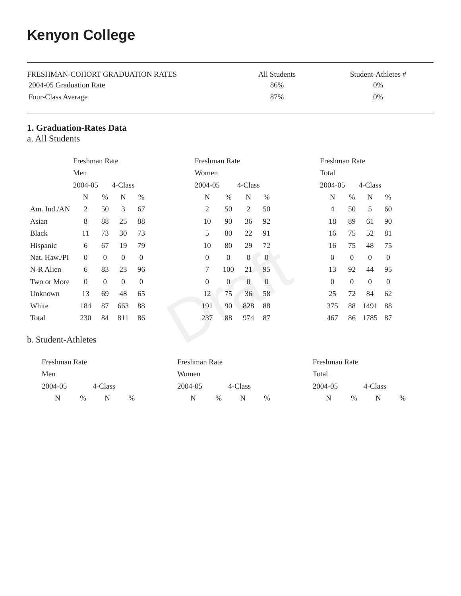# **Kenyon College**

| FRESHMAN-COHORT GRADUATION RATES | All Students | Student-Athletes # |
|----------------------------------|--------------|--------------------|
| 2004-05 Graduation Rate          | 86%          | 0%                 |
| Four-Class Average               | 87%          | 0%                 |

## **1. Graduation-Rates Data**

a. All Students

|                     | Freshman Rate |          |                |                | Freshman Rate    |                  |                |                | Freshman Rate  |                |          |          |
|---------------------|---------------|----------|----------------|----------------|------------------|------------------|----------------|----------------|----------------|----------------|----------|----------|
|                     | Men           |          |                |                | Women            |                  |                |                | Total          |                |          |          |
|                     | 2004-05       |          | 4-Class        |                | 2004-05          |                  | 4-Class        |                | 2004-05        |                | 4-Class  |          |
|                     | N             | $\%$     | N              | $\%$           | N                | $\%$             | N              | $\%$           | N              | $\%$           | N        | $\%$     |
| Am. Ind./AN         | 2             | 50       | 3              | 67             | 2                | 50               | $\mathfrak{2}$ | 50             | $\overline{4}$ | 50             | 5        | 60       |
| Asian               | 8             | 88       | 25             | 88             | 10               | 90               | 36             | 92             | 18             | 89             | 61       | 90       |
| <b>Black</b>        | 11            | 73       | 30             | 73             | 5                | 80               | 22             | 91             | 16             | 75             | 52       | 81       |
| Hispanic            | 6             | 67       | 19             | 79             | 10               | 80               | 29             | 72             | 16             | 75             | 48       | 75       |
| Nat. Haw./PI        | $\Omega$      | $\Omega$ | $\overline{0}$ | $\overline{0}$ | $\theta$         | $\boldsymbol{0}$ | $\overline{0}$ | $\overline{0}$ | $\Omega$       | $\Omega$       | $\theta$ | $\theta$ |
| N-R Alien           | 6             | 83       | 23             | 96             | $\tau$           | 100              | 21             | 95             | 13             | 92             | 44       | 95       |
| Two or More         | $\theta$      | $\theta$ | $\overline{0}$ | $\overline{0}$ | $\boldsymbol{0}$ | $\boldsymbol{0}$ | $\overline{0}$ | $\overline{0}$ | $\Omega$       | $\overline{0}$ | $\Omega$ | $\theta$ |
| Unknown             | 13            | 69       | 48             | 65             | 12               | 75               | 36             | 58             | 25             | 72             | 84       | 62       |
| White               | 184           | 87       | 663            | 88             | 191              | 90               | 828            | 88             | 375            | 88             | 1491     | 88       |
| Total               | 230           | 84       | 811            | 86             | 237              | 88               | 974            | 87             | 467            | 86             | 1785     | 87       |
| b. Student-Athletes |               |          |                |                |                  |                  |                |                |                |                |          |          |

#### b. Student-Athletes

| Freshman Rate |               |         |               | Freshman Rate |      |         |      |  | Freshman Rate |      |         |      |
|---------------|---------------|---------|---------------|---------------|------|---------|------|--|---------------|------|---------|------|
| Men           |               |         |               | Women         |      |         |      |  | Total         |      |         |      |
| 2004-05       |               | 4-Class |               | 2004-05       |      | 4-Class |      |  | 2004-05       |      | 4-Class |      |
| N             | $\frac{0}{0}$ | N       | $\frac{0}{0}$ | N             | $\%$ | N       | $\%$ |  |               | $\%$ | N       | $\%$ |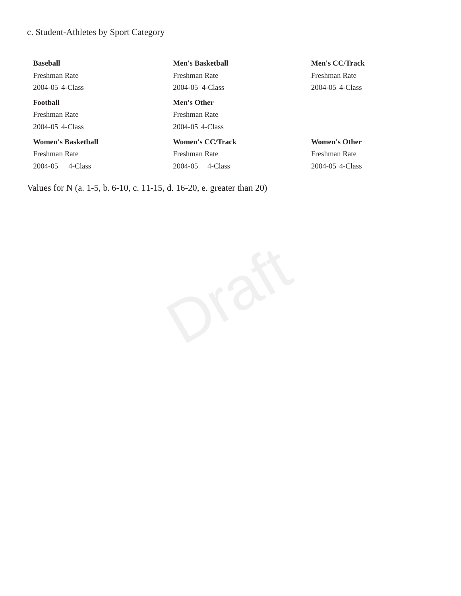## c. Student-Athletes by Sport Category

| <b>Baseball</b>           | <b>Men's Basketball</b> | <b>Men's CC/Track</b> |
|---------------------------|-------------------------|-----------------------|
| Freshman Rate             | Freshman Rate           | Freshman Rate         |
| 2004-05 4-Class           | 2004-05 4-Class         | 2004-05 4-Class       |
| Football                  | <b>Men's Other</b>      |                       |
| Freshman Rate             | Freshman Rate           |                       |
| 2004-05 4-Class           | 2004-05 4-Class         |                       |
| <b>Women's Basketball</b> | <b>Women's CC/Track</b> | <b>Women's Other</b>  |
| Freshman Rate             | Freshman Rate           | Freshman Rate         |
| 4-Class<br>2004-05        | 4-Class<br>2004-05      | 2004-05 4-Class       |
|                           |                         |                       |

Values for N (a. 1-5, b. 6-10, c. 11-15, d. 16-20, e. greater than 20)

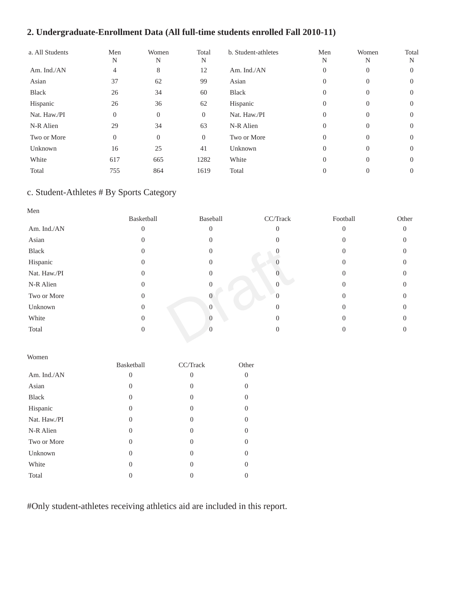## **2. Undergraduate-Enrollment Data (All full-time students enrolled Fall 2010-11)**

| a. All Students | Men<br>N       | Women<br>N | Total<br>N     | b. Student-athletes | Men<br>N       | Women<br>N | Total<br>N |
|-----------------|----------------|------------|----------------|---------------------|----------------|------------|------------|
| Am. Ind./AN     | 4              | 8          | 12             | Am. Ind./AN         | $\theta$       | 0          | $\Omega$   |
| Asian           | 37             | 62         | 99             | Asian               | $\theta$       | $\left($   | $\Omega$   |
| <b>Black</b>    | 26             | 34         | 60             | Black               | $\Omega$       | 0          | $\Omega$   |
| Hispanic        | 26             | 36         | 62             | Hispanic            | $\overline{0}$ | 0          | $\Omega$   |
| Nat. Haw./PI    | $\overline{0}$ | $\Omega$   | $\theta$       | Nat. Haw./PI        | $\Omega$       | $\left($   | $\left($   |
| N-R Alien       | 29             | 34         | 63             | N-R Alien           | $\Omega$       | $\Omega$   | $\Omega$   |
| Two or More     | $\overline{0}$ | $\Omega$   | $\overline{0}$ | Two or More         | $\Omega$       | 0          | $\Omega$   |
| Unknown         | 16             | 25         | 41             | Unknown             | $\Omega$       | 0          | $\Omega$   |
| White           | 617            | 665        | 1282           | White               | $\Omega$       | $\Omega$   | $\left($   |
| Total           | 755            | 864        | 1619           | Total               | $\Omega$       |            | 0          |

## c. Student-Athletes # By Sports Category

| Men          |                |          |          |                   |       |
|--------------|----------------|----------|----------|-------------------|-------|
|              | Basketball     | Baseball | CC/Track | Football          | Other |
| Am. Ind./AN  | $\theta$       | $\theta$ | 0        | $\Omega$          | 0     |
| Asian        | 0              | 0        |          | 0                 |       |
| Black        | 0              | $\Omega$ |          | 0                 |       |
| Hispanic     | $\theta$       | 0        |          | $\mathbf{\Omega}$ |       |
| Nat. Haw./PI | 0              | 0        |          |                   |       |
| N-R Alien    | 0              |          |          |                   |       |
| Two or More  | $\overline{0}$ | 0        |          |                   |       |
| Unknown      | 0              | $\Omega$ |          |                   |       |
| White        | $\theta$       |          |          | 0                 |       |
| Total        | 0              |          |          |                   |       |
|              |                |          |          |                   |       |

| Women        |            |          |          |
|--------------|------------|----------|----------|
|              | Basketball | CC/Track | Other    |
| Am. Ind./AN  | 0          | 0        | 0        |
| Asian        | $\theta$   | $\Omega$ | 0        |
| <b>Black</b> | 0          | $\Omega$ | $\Omega$ |
| Hispanic     | 0          | $\Omega$ | $\Omega$ |
| Nat. Haw./PI | $\theta$   | $\Omega$ | 0        |
| N-R Alien    | 0          | $\Omega$ | $\Omega$ |
| Two or More  | 0          | $\Omega$ | $\Omega$ |
| Unknown      | 0          | $\Omega$ | 0        |
| White        | 0          | 0        | ∩        |
| Total        |            |          |          |

#Only student-athletes receiving athletics aid are included in this report.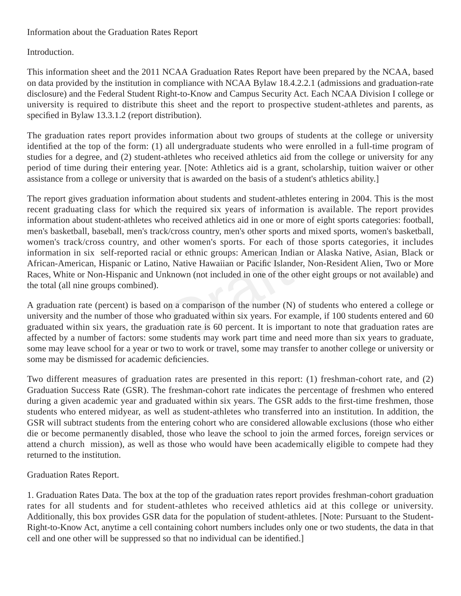#### Information about the Graduation Rates Report

#### Introduction.

This information sheet and the 2011 NCAA Graduation Rates Report have been prepared by the NCAA, based on data provided by the institution in compliance with NCAA Bylaw 18.4.2.2.1 (admissions and graduation-rate disclosure) and the Federal Student Right-to-Know and Campus Security Act. Each NCAA Division I college or university is required to distribute this sheet and the report to prospective student-athletes and parents, as specified in Bylaw 13.3.1.2 (report distribution).

The graduation rates report provides information about two groups of students at the college or university identified at the top of the form: (1) all undergraduate students who were enrolled in a full-time program of studies for a degree, and (2) student-athletes who received athletics aid from the college or university for any period of time during their entering year. [Note: Athletics aid is a grant, scholarship, tuition waiver or other assistance from a college or university that is awarded on the basis of a student's athletics ability.]

The report gives graduation information about students and student-athletes entering in 2004. This is the most recent graduating class for which the required six years of information is available. The report provides information about student-athletes who received athletics aid in one or more of eight sports categories: football, men's basketball, baseball, men's track/cross country, men's other sports and mixed sports, women's basketball, women's track/cross country, and other women's sports. For each of those sports categories, it includes information in six self-reported racial or ethnic groups: American Indian or Alaska Native, Asian, Black or African-American, Hispanic or Latino, Native Hawaiian or Pacific Islander, Non-Resident Alien, Two or More Races, White or Non-Hispanic and Unknown (not included in one of the other eight groups or not available) and the total (all nine groups combined).

al or ethnic groups: American India<br>
b, Native Hawaiian or Pacific Islands<br>
known (not included in one of the ot<br>
on a comparison of the number (N)<br>
on a comparison of the number (N)<br>
on graduated within six years. For ex<br> A graduation rate (percent) is based on a comparison of the number (N) of students who entered a college or university and the number of those who graduated within six years. For example, if 100 students entered and 60 graduated within six years, the graduation rate is 60 percent. It is important to note that graduation rates are affected by a number of factors: some students may work part time and need more than six years to graduate, some may leave school for a year or two to work or travel, some may transfer to another college or university or some may be dismissed for academic deficiencies.

Two different measures of graduation rates are presented in this report: (1) freshman-cohort rate, and (2) Graduation Success Rate (GSR). The freshman-cohort rate indicates the percentage of freshmen who entered during a given academic year and graduated within six years. The GSR adds to the first-time freshmen, those students who entered midyear, as well as student-athletes who transferred into an institution. In addition, the GSR will subtract students from the entering cohort who are considered allowable exclusions (those who either die or become permanently disabled, those who leave the school to join the armed forces, foreign services or attend a church mission), as well as those who would have been academically eligible to compete had they returned to the institution.

#### Graduation Rates Report.

1. Graduation Rates Data. The box at the top of the graduation rates report provides freshman-cohort graduation rates for all students and for student-athletes who received athletics aid at this college or university. Additionally, this box provides GSR data for the population of student-athletes. [Note: Pursuant to the Student-Right-to-Know Act, anytime a cell containing cohort numbers includes only one or two students, the data in that cell and one other will be suppressed so that no individual can be identified.]